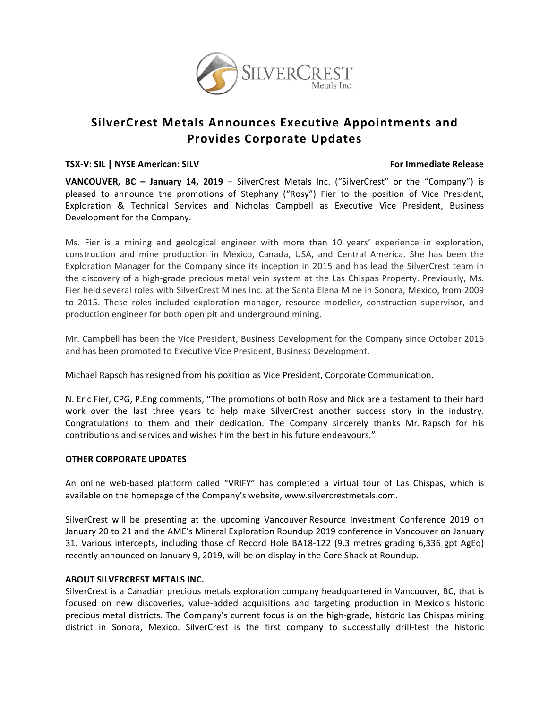

# **SilverCrest Metals Announces Executive Appointments and Provides Corporate Updates**

#### **TSX-V:** SIL | NYSE American: SILV *NOICERCONSERIAL CONTRACTS CONTRACTS MOICILITY <b>FOICILITY POICILITY POICILITY*

**VANCOUVER, BC - January 14, 2019** – SilverCrest Metals Inc. ("SilverCrest" or the "Company") is pleased to announce the promotions of Stephany ("Rosy") Fier to the position of Vice President, Exploration & Technical Services and Nicholas Campbell as Executive Vice President, Business Development for the Company.

Ms. Fier is a mining and geological engineer with more than 10 years' experience in exploration, construction and mine production in Mexico, Canada, USA, and Central America. She has been the Exploration Manager for the Company since its inception in 2015 and has lead the SilverCrest team in the discovery of a high-grade precious metal vein system at the Las Chispas Property. Previously, Ms. Fier held several roles with SilverCrest Mines Inc. at the Santa Elena Mine in Sonora, Mexico, from 2009 to 2015. These roles included exploration manager, resource modeller, construction supervisor, and production engineer for both open pit and underground mining.

Mr. Campbell has been the Vice President, Business Development for the Company since October 2016 and has been promoted to Executive Vice President, Business Development.

Michael Rapsch has resigned from his position as Vice President, Corporate Communication.

N. Eric Fier, CPG, P.Eng comments, "The promotions of both Rosy and Nick are a testament to their hard work over the last three years to help make SilverCrest another success story in the industry. Congratulations to them and their dedication. The Company sincerely thanks Mr. Rapsch for his contributions and services and wishes him the best in his future endeavours."

### **OTHER CORPORATE UPDATES**

An online web-based platform called "VRIFY" has completed a virtual tour of Las Chispas, which is available on the homepage of the Company's website, www.silvercrestmetals.com.

SilverCrest will be presenting at the upcoming Vancouver Resource Investment Conference 2019 on January 20 to 21 and the AME's Mineral Exploration Roundup 2019 conference in Vancouver on January 31. Various intercepts, including those of Record Hole BA18-122 (9.3 metres grading 6,336 gpt AgEq) recently announced on January 9, 2019, will be on display in the Core Shack at Roundup.

## **ABOUT SILVERCREST METALS INC.**

SilverCrest is a Canadian precious metals exploration company headquartered in Vancouver, BC, that is focused on new discoveries, value-added acquisitions and targeting production in Mexico's historic precious metal districts. The Company's current focus is on the high-grade, historic Las Chispas mining district in Sonora, Mexico. SilverCrest is the first company to successfully drill-test the historic